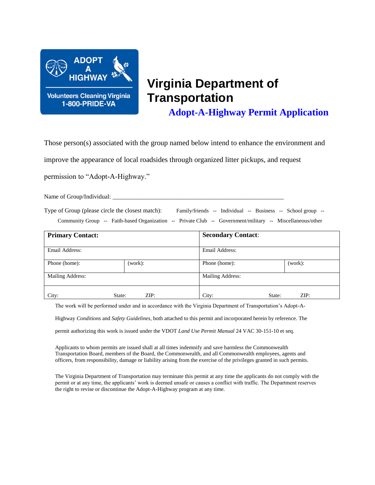

# **Virginia Department of Transportation**

**Adopt-A-Highway Permit Application**

Those person(s) associated with the group named below intend to enhance the environment and

improve the appearance of local roadsides through organized litter pickups, and request

permission to "Adopt-A-Highway."

Name of Group/Individual:

Type of Group (please circle the closest match): Family/friends -- Individual -- Business -- School group --

Community Group -- Faith-based Organization -- Private Club -- Government/military -- Miscellaneous/other

| <b>Primary Contact:</b> |         | <b>Secondary Contact:</b> |         |  |  |
|-------------------------|---------|---------------------------|---------|--|--|
| Email Address:          |         | Email Address:            |         |  |  |
| Phone (home):           | (work): | Phone (home):             | (work): |  |  |
| Mailing Address:        |         | <b>Mailing Address:</b>   |         |  |  |
| City:<br>State:         | ZIP:    | City:<br>State:           | ZIP:    |  |  |

The work will be performed under and in accordance with the Virginia Department of Transportation's Adopt-A-

Highway *Conditions* and *Safety Guidelines*, both attached to this permit and incorporated herein by reference. The

permit authorizing this work is issued under the VDOT *Land Use Permit Manual* 24 VAC 30-151-10 et seq.

Applicants to whom permits are issued shall at all times indemnify and save harmless the Commonwealth Transportation Board, members of the Board, the Commonwealth, and all Commonwealth employees, agents and officers, from responsibility, damage or liability arising from the exercise of the privileges granted in such permits.

The Virginia Department of Transportation may terminate this permit at any time the applicants do not comply with the permit or at any time, the applicants' work is deemed unsafe or causes a conflict with traffic. The Department reserves the right to revise or discontinue the Adopt-A-Highway program at any time.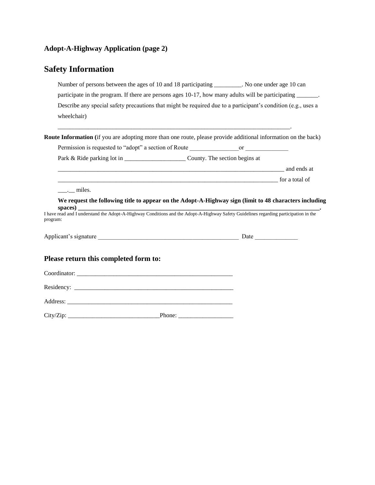### **Adopt-A-Highway Application (page 2)**

## **Safety Information**

| Number of persons between the ages of 10 and 18 participating ________. No one under age 10 can<br>participate in the program. If there are persons ages 10-17, how many adults will be participating ______. |                                                                                                                                                                                                                                |
|---------------------------------------------------------------------------------------------------------------------------------------------------------------------------------------------------------------|--------------------------------------------------------------------------------------------------------------------------------------------------------------------------------------------------------------------------------|
| Describe any special safety precautions that might be required due to a participant's condition (e.g., uses a<br>wheelchair)                                                                                  |                                                                                                                                                                                                                                |
| Route Information (if you are adopting more than one route, please provide additional information on the back)                                                                                                |                                                                                                                                                                                                                                |
|                                                                                                                                                                                                               |                                                                                                                                                                                                                                |
| Park & Ride parking lot in ______________________________County. The section begins at                                                                                                                        |                                                                                                                                                                                                                                |
|                                                                                                                                                                                                               | and ends at an end of the state of the state of the state of the state of the state of the state of the state of the state of the state of the state of the state of the state of the state of the state of the state of the s |
| <u>For a total</u> of                                                                                                                                                                                         |                                                                                                                                                                                                                                |
| spaces)<br>I have read and I understand the Adopt-A-Highway Conditions and the Adopt-A-Highway Safety Guidelines regarding participation in the<br>program:                                                   | We request the following title to appear on the Adopt-A-Highway sign (limit to 48 characters including                                                                                                                         |
|                                                                                                                                                                                                               |                                                                                                                                                                                                                                |
| Please return this completed form to:                                                                                                                                                                         |                                                                                                                                                                                                                                |
|                                                                                                                                                                                                               |                                                                                                                                                                                                                                |
|                                                                                                                                                                                                               |                                                                                                                                                                                                                                |
|                                                                                                                                                                                                               |                                                                                                                                                                                                                                |
|                                                                                                                                                                                                               |                                                                                                                                                                                                                                |